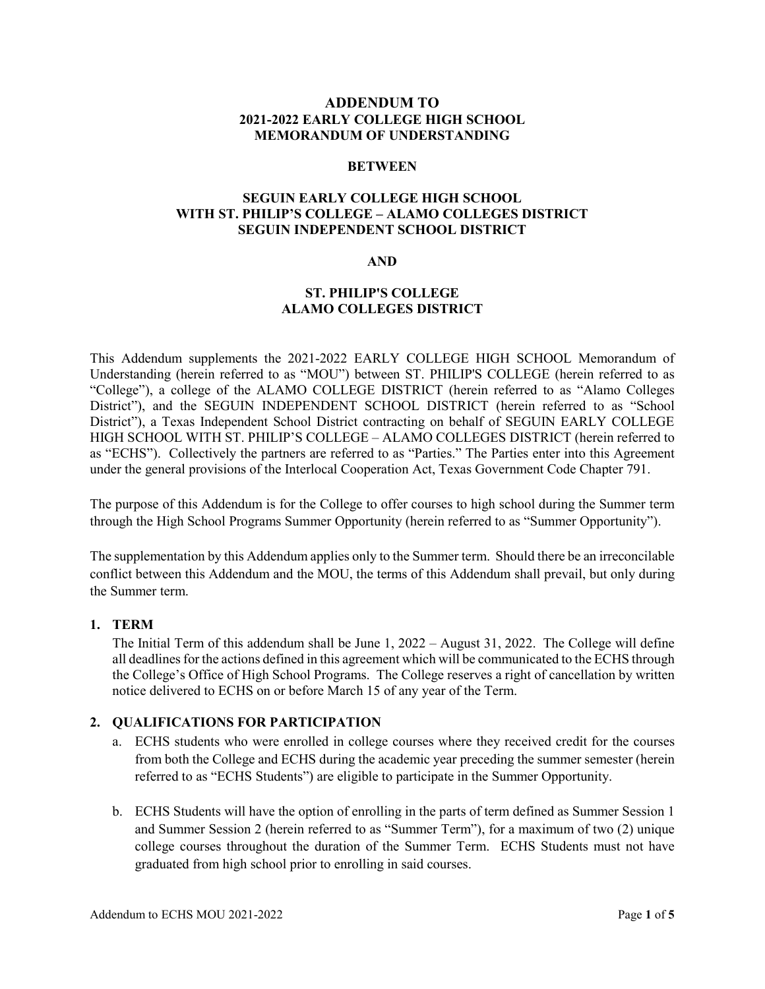### **ADDENDUM TO 2021-2022 EARLY COLLEGE HIGH SCHOOL MEMORANDUM OF UNDERSTANDING**

#### **BETWEEN**

### **SEGUIN EARLY COLLEGE HIGH SCHOOL WITH ST. PHILIP'S COLLEGE – ALAMO COLLEGES DISTRICT SEGUIN INDEPENDENT SCHOOL DISTRICT**

### **AND**

### **ST. PHILIP'S COLLEGE ALAMO COLLEGES DISTRICT**

This Addendum supplements the 2021-2022 EARLY COLLEGE HIGH SCHOOL Memorandum of Understanding (herein referred to as "MOU") between ST. PHILIP'S COLLEGE (herein referred to as "College"), a college of the ALAMO COLLEGE DISTRICT (herein referred to as "Alamo Colleges District"), and the SEGUIN INDEPENDENT SCHOOL DISTRICT (herein referred to as "School District"), a Texas Independent School District contracting on behalf of SEGUIN EARLY COLLEGE HIGH SCHOOL WITH ST. PHILIP'S COLLEGE – ALAMO COLLEGES DISTRICT (herein referred to as "ECHS"). Collectively the partners are referred to as "Parties." The Parties enter into this Agreement under the general provisions of the Interlocal Cooperation Act, Texas Government Code Chapter 791.

The purpose of this Addendum is for the College to offer courses to high school during the Summer term through the High School Programs Summer Opportunity (herein referred to as "Summer Opportunity").

The supplementation by this Addendum applies only to the Summer term. Should there be an irreconcilable conflict between this Addendum and the MOU, the terms of this Addendum shall prevail, but only during the Summer term.

### **1. TERM**

The Initial Term of this addendum shall be June 1, 2022 – August 31, 2022. The College will define all deadlines for the actions defined in this agreement which will be communicated to the ECHS through the College's Office of High School Programs. The College reserves a right of cancellation by written notice delivered to ECHS on or before March 15 of any year of the Term.

### **2. QUALIFICATIONS FOR PARTICIPATION**

- a. ECHS students who were enrolled in college courses where they received credit for the courses from both the College and ECHS during the academic year preceding the summer semester (herein referred to as "ECHS Students") are eligible to participate in the Summer Opportunity.
- b. ECHS Students will have the option of enrolling in the parts of term defined as Summer Session 1 and Summer Session 2 (herein referred to as "Summer Term"), for a maximum of two (2) unique college courses throughout the duration of the Summer Term. ECHS Students must not have graduated from high school prior to enrolling in said courses.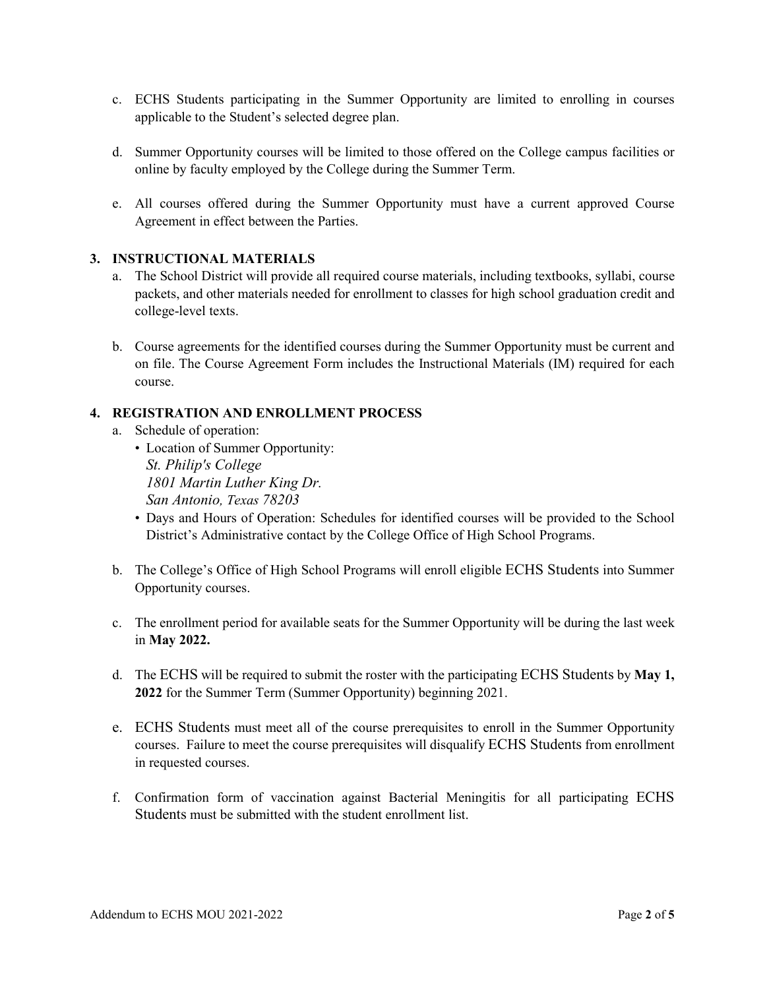- c. ECHS Students participating in the Summer Opportunity are limited to enrolling in courses applicable to the Student's selected degree plan.
- d. Summer Opportunity courses will be limited to those offered on the College campus facilities or online by faculty employed by the College during the Summer Term.
- e. All courses offered during the Summer Opportunity must have a current approved Course Agreement in effect between the Parties.

## **3. INSTRUCTIONAL MATERIALS**

- a. The School District will provide all required course materials, including textbooks, syllabi, course packets, and other materials needed for enrollment to classes for high school graduation credit and college-level texts.
- b. Course agreements for the identified courses during the Summer Opportunity must be current and on file. The Course Agreement Form includes the Instructional Materials (IM) required for each course.

### **4. REGISTRATION AND ENROLLMENT PROCESS**

- a. Schedule of operation:
	- Location of Summer Opportunity: *St. Philip's College 1801 Martin Luther King Dr. San Antonio, Texas 78203*
	- Days and Hours of Operation: Schedules for identified courses will be provided to the School District's Administrative contact by the College Office of High School Programs.
- b. The College's Office of High School Programs will enroll eligible ECHS Students into Summer Opportunity courses.
- c. The enrollment period for available seats for the Summer Opportunity will be during the last week in **May 2022.**
- d. The ECHS will be required to submit the roster with the participating ECHS Students by **May 1, 2022** for the Summer Term (Summer Opportunity) beginning 2021.
- e. ECHS Students must meet all of the course prerequisites to enroll in the Summer Opportunity courses. Failure to meet the course prerequisites will disqualify ECHS Students from enrollment in requested courses.
- f. Confirmation form of vaccination against Bacterial Meningitis for all participating ECHS Students must be submitted with the student enrollment list.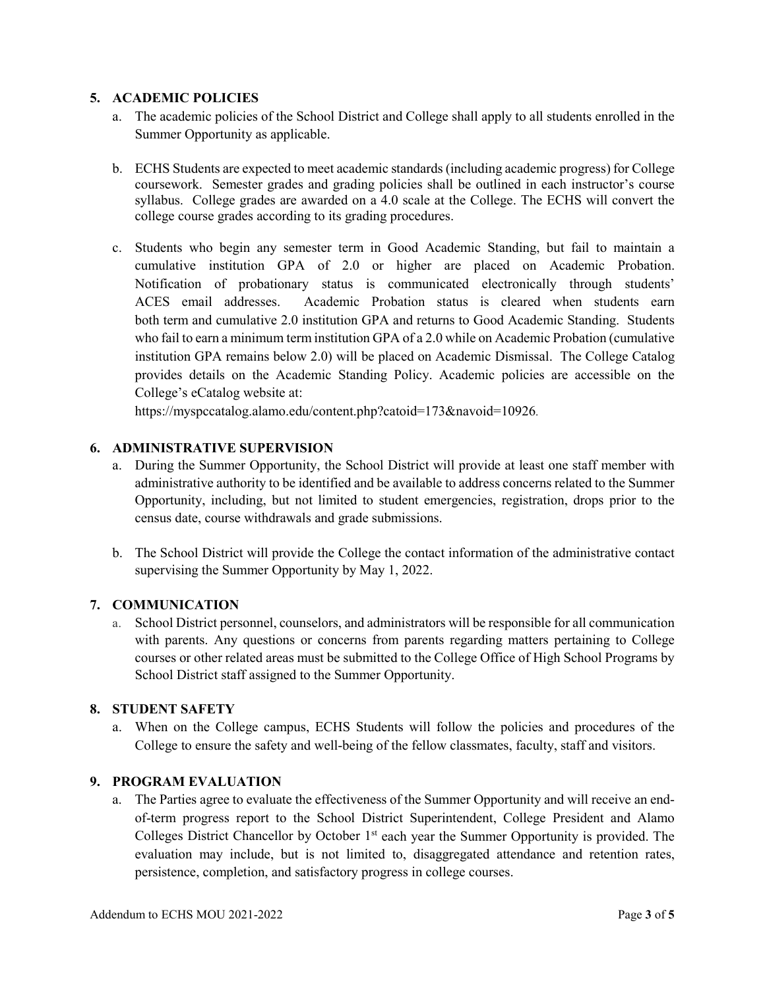### **5. ACADEMIC POLICIES**

- a. The academic policies of the School District and College shall apply to all students enrolled in the Summer Opportunity as applicable.
- b. ECHS Students are expected to meet academic standards (including academic progress) for College coursework. Semester grades and grading policies shall be outlined in each instructor's course syllabus. College grades are awarded on a 4.0 scale at the College. The ECHS will convert the college course grades according to its grading procedures.
- c. Students who begin any semester term in Good Academic Standing, but fail to maintain a cumulative institution GPA of 2.0 or higher are placed on Academic Probation. Notification of probationary status is communicated electronically through students' ACES email addresses. Academic Probation status is cleared when students earn both term and cumulative 2.0 institution GPA and returns to Good Academic Standing. Students who fail to earn a minimum term institution GPA of a 2.0 while on Academic Probation (cumulative institution GPA remains below 2.0) will be placed on Academic Dismissal. The College Catalog provides details on the Academic Standing Policy. Academic policies are accessible on the College's eCatalog website at:

https://myspccatalog.alamo.edu/content.php?catoid=173&navoid=10926.

## **6. ADMINISTRATIVE SUPERVISION**

- a. During the Summer Opportunity, the School District will provide at least one staff member with administrative authority to be identified and be available to address concerns related to the Summer Opportunity, including, but not limited to student emergencies, registration, drops prior to the census date, course withdrawals and grade submissions.
- b. The School District will provide the College the contact information of the administrative contact supervising the Summer Opportunity by May 1, 2022.

# **7. COMMUNICATION**

a. School District personnel, counselors, and administrators will be responsible for all communication with parents. Any questions or concerns from parents regarding matters pertaining to College courses or other related areas must be submitted to the College Office of High School Programs by School District staff assigned to the Summer Opportunity.

### **8. STUDENT SAFETY**

a. When on the College campus, ECHS Students will follow the policies and procedures of the College to ensure the safety and well-being of the fellow classmates, faculty, staff and visitors.

### **9. PROGRAM EVALUATION**

a. The Parties agree to evaluate the effectiveness of the Summer Opportunity and will receive an endof-term progress report to the School District Superintendent, College President and Alamo Colleges District Chancellor by October 1<sup>st</sup> each year the Summer Opportunity is provided. The evaluation may include, but is not limited to, disaggregated attendance and retention rates, persistence, completion, and satisfactory progress in college courses.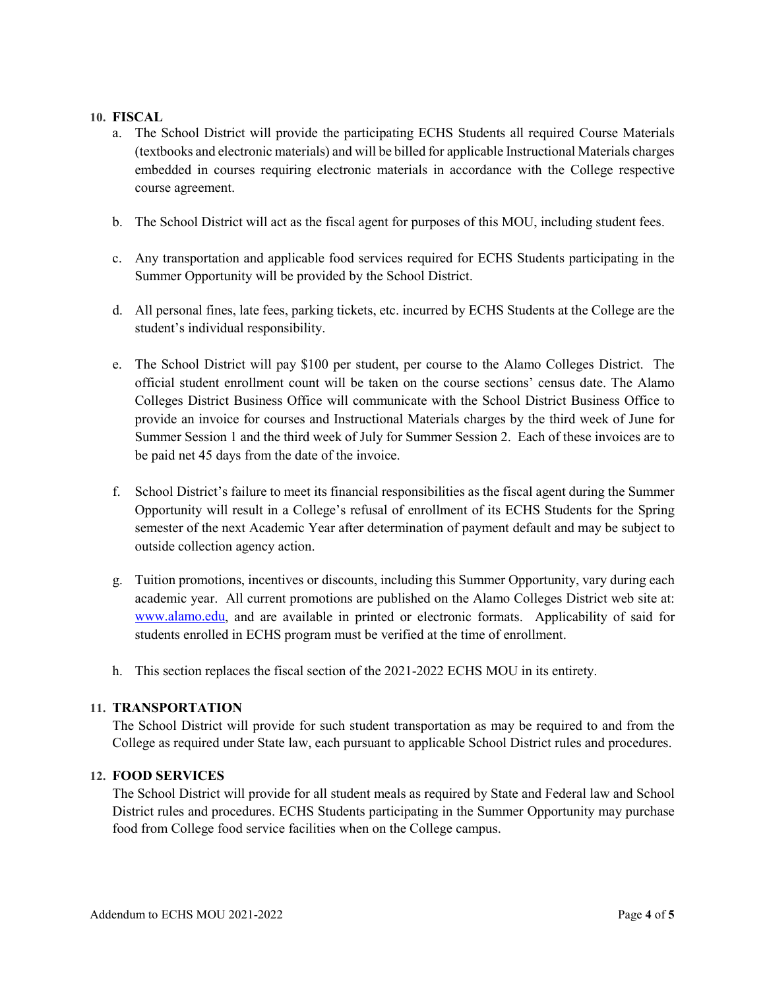#### **10. FISCAL**

- a. The School District will provide the participating ECHS Students all required Course Materials (textbooks and electronic materials) and will be billed for applicable Instructional Materials charges embedded in courses requiring electronic materials in accordance with the College respective course agreement.
- b. The School District will act as the fiscal agent for purposes of this MOU, including student fees.
- c. Any transportation and applicable food services required for ECHS Students participating in the Summer Opportunity will be provided by the School District.
- d. All personal fines, late fees, parking tickets, etc. incurred by ECHS Students at the College are the student's individual responsibility.
- e. The School District will pay \$100 per student, per course to the Alamo Colleges District. The official student enrollment count will be taken on the course sections' census date. The Alamo Colleges District Business Office will communicate with the School District Business Office to provide an invoice for courses and Instructional Materials charges by the third week of June for Summer Session 1 and the third week of July for Summer Session 2. Each of these invoices are to be paid net 45 days from the date of the invoice.
- f. School District's failure to meet its financial responsibilities as the fiscal agent during the Summer Opportunity will result in a College's refusal of enrollment of its ECHS Students for the Spring semester of the next Academic Year after determination of payment default and may be subject to outside collection agency action.
- g. Tuition promotions, incentives or discounts, including this Summer Opportunity, vary during each academic year. All current promotions are published on the Alamo Colleges District web site at: [www.alamo.edu,](http://www.alamo.edu/) and are available in printed or electronic formats. Applicability of said for students enrolled in ECHS program must be verified at the time of enrollment.
- h. This section replaces the fiscal section of the 2021-2022 ECHS MOU in its entirety.

### **11. TRANSPORTATION**

The School District will provide for such student transportation as may be required to and from the College as required under State law, each pursuant to applicable School District rules and procedures.

### **12. FOOD SERVICES**

The School District will provide for all student meals as required by State and Federal law and School District rules and procedures. ECHS Students participating in the Summer Opportunity may purchase food from College food service facilities when on the College campus.